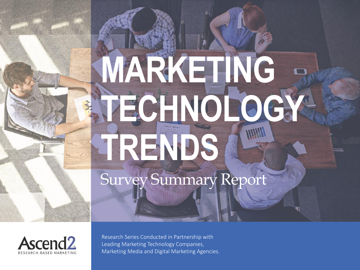# **MARKETING TECHNOLOGY TRENDS** Survey Summary Report



Research Series Conducted in Partnership with Leading Marketing Technology Companies, Marketing Media and Digital Marketing Agencies.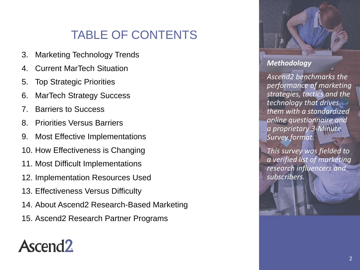## TABLE OF CONTENTS

- 3. Marketing Technology Trends
- 4. Current MarTech Situation
- 5. Top Strategic Priorities
- 6. MarTech Strategy Success
- 7. Barriers to Success
- 8. Priorities Versus Barriers
- 9. Most Effective Implementations
- 10. How Effectiveness is Changing
- 11. Most Difficult Implementations
- 12. Implementation Resources Used
- 13. Effectiveness Versus Difficulty
- 14. About Ascend2 Research-Based Marketing
- 15. Ascend2 Research Partner Programs

## Ascend<sub>2</sub>



#### *Methodology*

*Ascend2 benchmarks the performance of marketing strategies, tactics and the technology that drives them with a standardized online questionnaire and a proprietary 3-Minute Survey format.* 

*This survey was fielded to a verified list of marketing research influencers and subscribers.*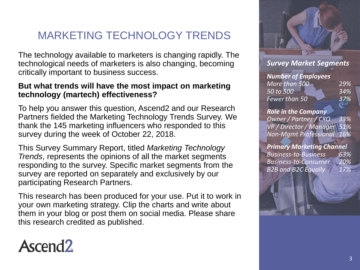#### MARKETING TECHNOLOGY TRENDS

The technology available to marketers is changing rapidly. The technological needs of marketers is also changing, becoming critically important to business success.

#### **But what trends will have the most impact on marketing technology (martech) effectiveness?**

To help you answer this question, Ascend2 and our Research Partners fielded the Marketing Technology Trends Survey. We thank the 145 marketing influencers who responded to this survey during the week of October 22, 2018.

This Survey Summary Report, titled *Marketing Technology Trends*, represents the opinions of all the market segments responding to the survey. Specific market segments from the survey are reported on separately and exclusively by our participating Research Partners.

This research has been produced for your use. Put it to work in your own marketing strategy. Clip the charts and write about them in your blog or post them on social media. Please share this research credited as published.



#### *Survey Market Segments*

*Number of Employees More than 500 29% 50 to 500 34% Fewer than 50 37%*

#### *Role in the Company*

*Owner / Partner / CXO 33% VP / Director / Manager 51% Non-Mgmt Professional 16%*

#### *Primary Marketing Channel*

*Business-to-Business 63% Business-to-Consumer 20% B2B and B2C Equally 17%*



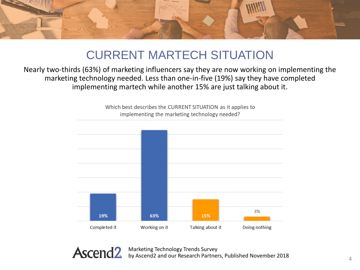

## CURRENT MARTECH SITUATION

Nearly two-thirds (63%) of marketing influencers say they are now working on implementing the marketing technology needed. Less than one-in-five (19%) say they have completed implementing martech while another 15% are just talking about it.

> Which best describes the CURRENT SITUATION as it applies to implementing the marketing technology needed?



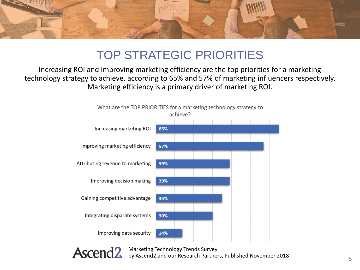

## TOP STRATEGIC PRIORITIES

Increasing ROI and improving marketing efficiency are the top priorities for a marketing technology strategy to achieve, according to 65% and 57% of marketing influencers respectively. Marketing efficiency is a primary driver of marketing ROI.



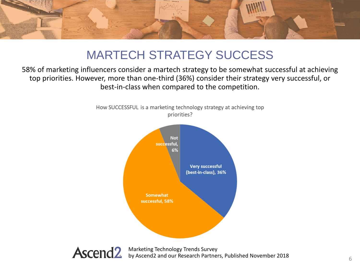

## MARTECH STRATEGY SUCCESS

58% of marketing influencers consider a martech strategy to be somewhat successful at achieving top priorities. However, more than one-third (36%) consider their strategy very successful, or best-in-class when compared to the competition.



How SUCCESSFUL is a marketing technology strategy at achieving top priorities?

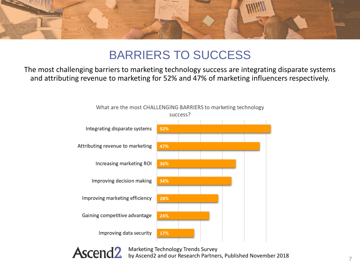

### BARRIERS TO SUCCESS

The most challenging barriers to marketing technology success are integrating disparate systems and attributing revenue to marketing for 52% and 47% of marketing influencers respectively.



What are the most CHALLENGING BARRIERS to marketing technology

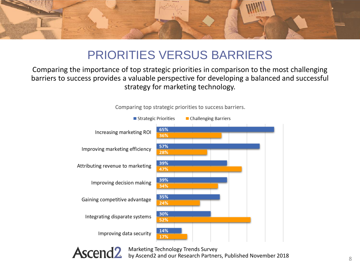

## PRIORITIES VERSUS BARRIERS

#### Comparing the importance of top strategic priorities in comparison to the most challenging barriers to success provides a valuable perspective for developing a balanced and successful strategy for marketing technology.



Comparing top strategic priorities to success barriers.

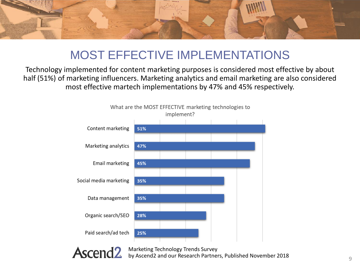

## MOST EFFECTIVE IMPLEMENTATIONS

Technology implemented for content marketing purposes is considered most effective by about half (51%) of marketing influencers. Marketing analytics and email marketing are also considered most effective martech implementations by 47% and 45% respectively.



Ascend<sub>2</sub>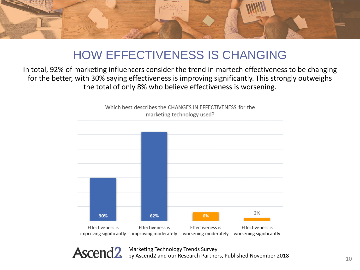

## HOW EFFECTIVENESS IS CHANGING

In total, 92% of marketing influencers consider the trend in martech effectiveness to be changing for the better, with 30% saying effectiveness is improving significantly. This strongly outweighs the total of only 8% who believe effectiveness is worsening.



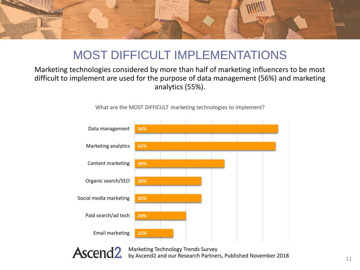

## MOST DIFFICULT IMPLEMENTATIONS

#### Marketing technologies considered by more than half of marketing influencers to be most difficult to implement are used for the purpose of data management (56%) and marketing analytics (55%).



What are the MOST DIFFICULT marketing technologies to implement?

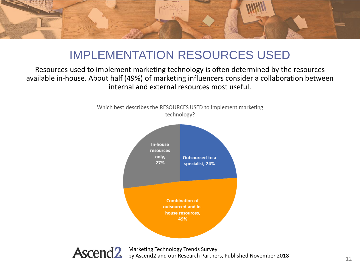

## IMPLEMENTATION RESOURCES USED

#### Resources used to implement marketing technology is often determined by the resources available in-house. About half (49%) of marketing influencers consider a collaboration between internal and external resources most useful.



Which best describes the RESOURCES USED to implement marketing technology?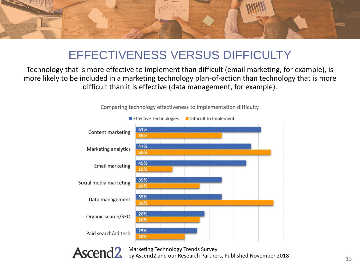

## EFFECTIVENESS VERSUS DIFFICULTY

Technology that is more effective to implement than difficult (email marketing, for example), is more likely to be included in a marketing technology plan-of-action than technology that is more difficult than it is effective (data management, for example).



Comparing technology effectiveness to implementation difficulty.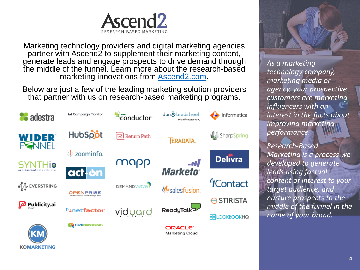

Marketing technology providers and digital marketing agencies partner with Ascend2 to supplement their marketing content, generate leads and engage prospects to drive demand through the middle of the funnel. Learn more about the research-based marketing innovations from [Ascend2.com.](http://ascend2.com/)

Below are just a few of the leading marketing solution providers that partner with us on research-based marketing programs.



**KOMARKETING** 



*As a marketing technology company, marketing media or agency, your prospective customers are marketing influencers with an interest in the facts about improving marketing performance.*

*Research-Based Marketing is a process we developed to generate leads using factual content of interest to your target audience, and nurture prospects to the middle of the funnel in the name of your brand.*